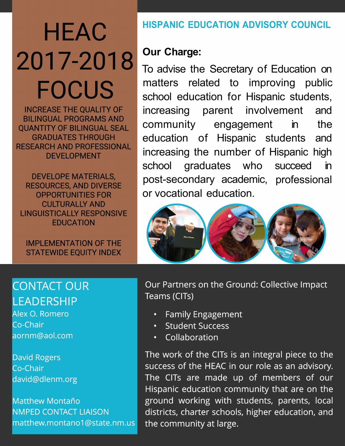# **HEAC** 2017-2018 **FOCUS**

**INCREASE THE QUALITY OF BILINGUAL PROGRAMS AND QUANTITY OF BILINGUAL SEAL GRADUATES THROUGH RESEARCH AND PROFESSIONAL DEVELOPMENT** 

**DEVELOPE MATERIALS, RESOURCES, AND DIVERSE OPPORTUNITIES FOR CULTURALLY AND LINGUISTICALLY RESPONSIVE EDUCATION** 

**IMPLEMENTATION OF THE STATEWIDE EQUITY INDEX** 

# **HISPANIC EDUCATION ADVISORY COUNCIL**

# **Our Charge:**

To advise the Secretary of Education on matters related to improving public school education for Hispanic students, increasing parent involvement and community engagement the  $\mathsf{in}$ education of Hispanic students and increasing the number of Hispanic high school graduates who succeed  $\mathsf{in}$ post-secondary academic, professional or vocational education.



# **CONTACT OUR LEADERSHIP**

Alex O. Romero Co-Chair aornm@aol.com

**David Rogers** Co-Chair david@dlenm.org

**Matthew Montaño NMPED CONTACT LIAISON** matthew.montano1@state.nm.us Our Partners on the Ground: Collective Impact Teams (CITs)

- **Family Engagement**
- **Student Success**
- Collaboration  $\bullet$

The work of the CITs is an integral piece to the success of the HEAC in our role as an advisory. The CITs are made up of members of our Hispanic education community that are on the ground working with students, parents, local districts, charter schools, higher education, and the community at large.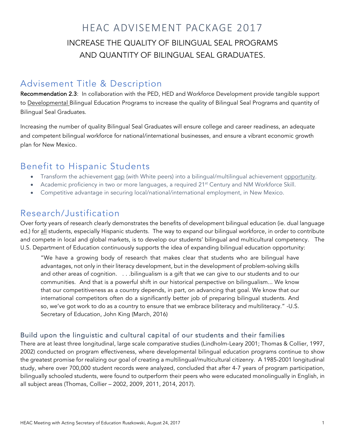# HEAC ADVISEMENT PACKAGE 2017 INCREASE THE QUALITY OF BILINGUAL SEAL PROGRAMS AND QUANTITY OF BILINGUAL SEAL GRADUATES.

#### Advisement Title & Description

Recommendation 2.3: In collaboration with the PED, HED and Workforce Development provide tangible support to Developmental Bilingual Education Programs to increase the quality of Bilingual Seal Programs and quantity of Bilingual Seal Graduates.

Increasing the number of quality Bilingual Seal Graduates will ensure college and career readiness, an adequate and competent bilingual workforce for national/international businesses, and ensure a vibrant economic growth plan for New Mexico.

#### Benefit to Hispanic Students

- Transform the achievement gap (with White peers) into a bilingual/multilingual achievement opportunity.
- Academic proficiency in two or more languages, a required 21<sup>st</sup> Century and NM Workforce Skill.
- Competitive advantage in securing local/national/international employment, in New Mexico.

#### Research/Justification

Over forty years of research clearly demonstrates the benefits of development bilingual education (ie. dual language ed.) for all students, especially Hispanic students. The way to expand our bilingual workforce, in order to contribute and compete in local and global markets, is to develop our students' bilingual and multicultural competency. The U.S. Department of Education continuously supports the idea of expanding bilingual education opportunity:

"We have a growing body of research that makes clear that students who are bilingual have advantages, not only in their literacy development, but in the development of problem-solving skills and other areas of cognition. . . .bilingualism is a gift that we can give to our students and to our communities. And that is a powerful shift in our historical perspective on bilingualism... We know that our competitiveness as a country depends, in part, on advancing that goal. We know that our international competitors often do a significantly better job of preparing bilingual students. And so, we've got work to do as a country to ensure that we embrace biliteracy and multiliteracy." -U.S. Secretary of Education, John King (March, 2016)

#### Build upon the linguistic and cultural capital of our students and their families

There are at least three longitudinal, large scale comparative studies (Lindholm-Leary 2001; Thomas & Collier, 1997, 2002) conducted on program effectiveness, where developmental bilingual education programs continue to show the greatest promise for realizing our goal of creating a multilingual/multicultural citizenry. A 1985-2001 longitudinal study, where over 700,000 student records were analyzed, concluded that after 4-7 years of program participation, bilingually schooled students, were found to outperform their peers who were educated monolingually in English, in all subject areas (Thomas, Collier – 2002, 2009, 2011, 2014, 2017).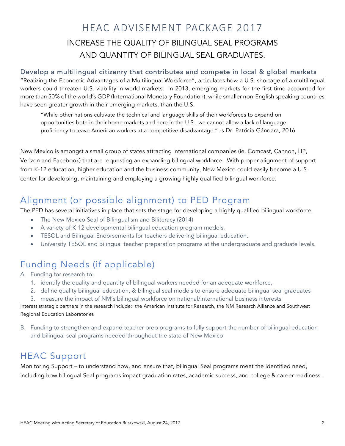# HEAC ADVISEMENT PACKAGE 2017 INCREASE THE QUALITY OF BILINGUAL SEAL PROGRAMS AND QUANTITY OF BILINGUAL SEAL GRADUATES.

#### Develop a multilingual citizenry that contributes and compete in local & global markets

"Realizing the Economic Advantages of a Multilingual Workforce", articulates how a U.S. shortage of a multilingual workers could threaten U.S. viability in world markets. In 2013, emerging markets for the first time accounted for more than 50% of the world's GDP (International Monetary Foundation), while smaller non-English speaking countries have seen greater growth in their emerging markets, than the U.S.

"While other nations cultivate the technical and language skills of their workforces to expand on opportunities both in their home markets and here in the U.S., we cannot allow a lack of language proficiency to leave American workers at a competitive disadvantage." -s Dr. Patricia Gándara, 2016

New Mexico is amongst a small group of states attracting international companies (ie. Comcast, Cannon, HP, Verizon and Facebook) that are requesting an expanding bilingual workforce. With proper alignment of support from K-12 education, higher education and the business community, New Mexico could easily become a U.S. center for developing, maintaining and employing a growing highly qualified bilingual workforce.

## Alignment (or possible alignment) to PED Program

The PED has several initiatives in place that sets the stage for developing a highly qualified bilingual workforce.

- The New Mexico Seal of Bilingualism and Biliteracy (2014)
- A variety of K-12 developmental bilingual education program models.
- TESOL and Bilingual Endorsements for teachers delivering bilingual education.
- University TESOL and Bilingual teacher preparation programs at the undergraduate and graduate levels.

# Funding Needs (if applicable)

A. Funding for research to:

- 1. identify the quality and quantity of bilingual workers needed for an adequate workforce,
- 2. define quality bilingual education, & bilingual seal models to ensure adequate bilingual seal graduates
- 3. measure the impact of NM's bilingual workforce on national/international business interests

Interest strategic partners in the research include: the American Institute for Research, the NM Research Alliance and Southwest Regional Education Laboratories

B. Funding to strengthen and expand teacher prep programs to fully support the number of bilingual education and bilingual seal programs needed throughout the state of New Mexico

## HEAC Support

Monitoring Support – to understand how, and ensure that, bilingual Seal programs meet the identified need, including how bilingual Seal programs impact graduation rates, academic success, and college & career readiness.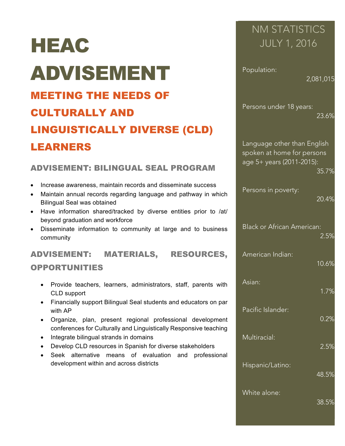# HEAC ADVISEMENT

# MEETING THE NEEDS OF CULTURALLY AND LINGUISTICALLY DIVERSE (CLD) LEARNERS

#### ADVISEMENT: BILINGUAL SEAL PROGRAM

- Increase awareness, maintain records and disseminate success
- Maintain annual records regarding language and pathway in which Bilingual Seal was obtained
- Have information shared/tracked by diverse entities prior to /at/ beyond graduation and workforce
- Disseminate information to community at large and to business community

## ADVISEMENT: MATERIALS, RESOURCES,

#### OPPORTUNITIES

- Provide teachers, learners, administrators, staff, parents with CLD support
- Financially support Bilingual Seal students and educators on par with AP
- Organize, plan, present regional professional development conferences for Culturally and Linguistically Responsive teaching
- Integrate bilingual strands in domains
- Develop CLD resources in Spanish for diverse stakeholders
- Seek alternative means of evaluation and professional development within and across districts

# NM STATISTICS JULY 1, 2016

Population:

2,081,015

Persons under 18 years: 23.6%

Language other than English spoken at home for persons age 5+ years (2011-2015): 35.7%

Persons in poverty:

20.4%

10.6%

Black or African American: 2.5%

American Indian:

Asian:

1.7%

Pacific Islander:

0.2%

Multiracial:

2.5%

Hispanic/Latino:

48.5%

White alone: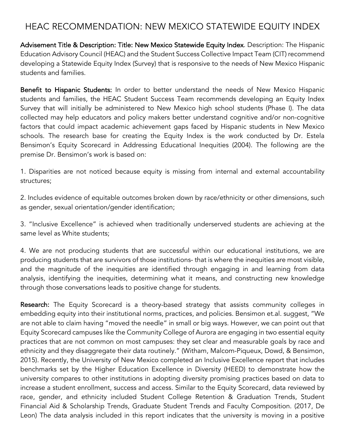## HEAC RECOMMENDATION: NEW MEXICO STATEWIDE EQUITY INDEX

Advisement Title & Description: Title: New Mexico Statewide Equity Index. Description: The Hispanic Education Advisory Council (HEAC) and the Student Success Collective Impact Team (CIT) recommend developing a Statewide Equity Index (Survey) that is responsive to the needs of New Mexico Hispanic students and families.

Benefit to Hispanic Students: In order to better understand the needs of New Mexico Hispanic students and families, the HEAC Student Success Team recommends developing an Equity Index Survey that will initially be administered to New Mexico high school students (Phase I). The data collected may help educators and policy makers better understand cognitive and/or non-cognitive factors that could impact academic achievement gaps faced by Hispanic students in New Mexico schools. The research base for creating the Equity Index is the work conducted by Dr. Estela Bensimon's Equity Scorecard in Addressing Educational Inequities (2004). The following are the premise Dr. Bensimon's work is based on:

1. Disparities are not noticed because equity is missing from internal and external accountability structures;

2. Includes evidence of equitable outcomes broken down by race/ethnicity or other dimensions, such as gender, sexual orientation/gender identification;

3. "Inclusive Excellence" is achieved when traditionally underserved students are achieving at the same level as White students;

4. We are not producing students that are successful within our educational institutions, we are producing students that are survivors of those institutions- that is where the inequities are most visible, and the magnitude of the inequities are identified through engaging in and learning from data analysis, identifying the inequities, determining what it means, and constructing new knowledge through those conversations leads to positive change for students.

**Research:** The Equity Scorecard is a theory-based strategy that assists community colleges in embedding equity into their institutional norms, practices, and policies. Bensimon et.al. suggest, "We are not able to claim having "moved the needle" in small or big ways. However, we can point out that Equity Scorecard campuses like the Community College of Aurora are engaging in two essential equity practices that are not common on most campuses: they set clear and measurable goals by race and ethnicity and they disaggregate their data routinely." (Witham, Malcom-Piqueux, Dowd, & Bensimon, 2015). Recently, the University of New Mexico completed an Inclusive Excellence report that includes benchmarks set by the Higher Education Excellence in Diversity (HEED) to demonstrate how the university compares to other institutions in adopting diversity promising practices based on data to increase a student enrollment, success and access. Similar to the Equity Scorecard, data reviewed by race, gender, and ethnicity included Student College Retention & Graduation Trends, Student Financial Aid & Scholarship Trends, Graduate Student Trends and Faculty Composition. (2017, De Leon) The data analysis included in this report indicates that the university is moving in a positive